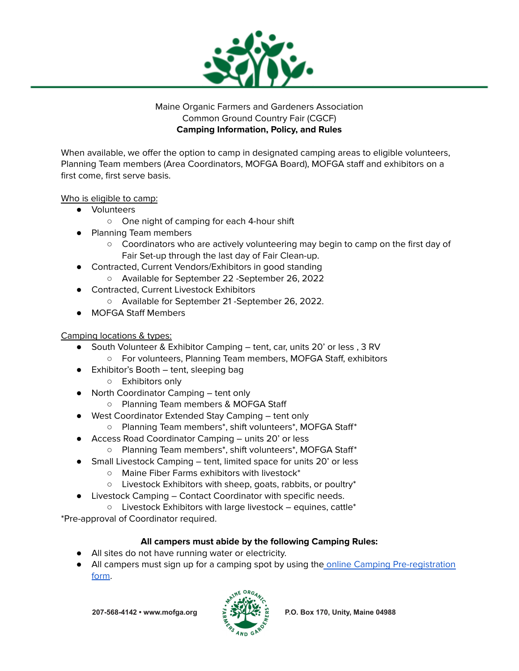

## Maine Organic Farmers and Gardeners Association Common Ground Country Fair (CGCF) **Camping Information, Policy, and Rules**

When available, we offer the option to camp in designated camping areas to eligible volunteers, Planning Team members (Area Coordinators, MOFGA Board), MOFGA staff and exhibitors on a first come, first serve basis.

# Who is eligible to camp:

- Volunteers
	- One night of camping for each 4-hour shift
- Planning Team members
	- Coordinators who are actively volunteering may begin to camp on the first day of Fair Set-up through the last day of Fair Clean-up.
- Contracted, Current Vendors/Exhibitors in good standing ○ Available for September 22 -September 26, 2022
- Contracted, Current Livestock Exhibitors
	- Available for September 21 -September 26, 2022.
- MOFGA Staff Members

# Camping locations & types:

- South Volunteer & Exhibitor Camping tent, car, units 20' or less, 3 RV
	- For volunteers, Planning Team members, MOFGA Staff, exhibitors
- Exhibitor's Booth tent, sleeping bag
	- Exhibitors only
- North Coordinator Camping tent only
	- Planning Team members & MOFGA Staff
	- West Coordinator Extended Stay Camping tent only
		- Planning Team members\*, shift volunteers\*, MOFGA Staff\*
- Access Road Coordinator Camping units 20' or less
	- Planning Team members\*, shift volunteers\*, MOFGA Staff\*
- Small Livestock Camping tent, limited space for units 20' or less
	- Maine Fiber Farms exhibitors with livestock\*
	- Livestock Exhibitors with sheep, goats, rabbits, or poultry\*
- Livestock Camping Contact Coordinator with specific needs.
	- Livestock Exhibitors with large livestock equines, cattle\*

\*Pre-approval of Coordinator required.

# **All campers must abide by the following Camping Rules:**

- All sites do not have running water or electricity.
- All campers must sign up for a camping spot by using the online Camping [Pre-registration](https://forms.gle/Q75eR395cUZRmu1q7) [form.](https://forms.gle/Q75eR395cUZRmu1q7)

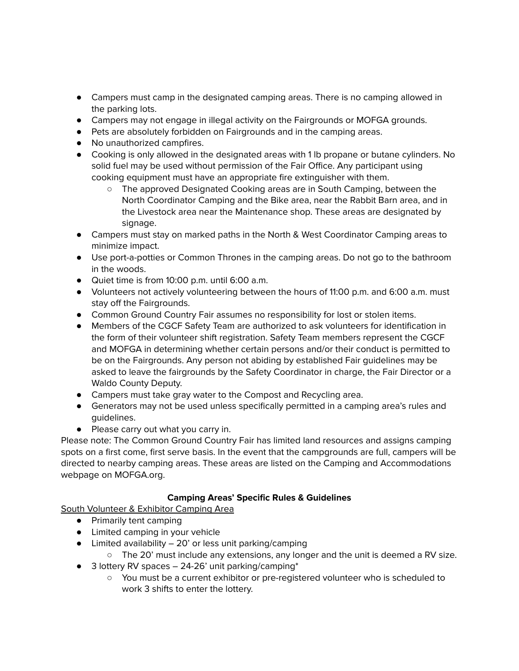- Campers must camp in the designated camping areas. There is no camping allowed in the parking lots.
- Campers may not engage in illegal activity on the Fairgrounds or MOFGA grounds.
- Pets are absolutely forbidden on Fairgrounds and in the camping areas.
- No unauthorized campfires.
- Cooking is only allowed in the designated areas with 1 lb propane or butane cylinders. No solid fuel may be used without permission of the Fair Office. Any participant using cooking equipment must have an appropriate fire extinguisher with them.
	- The approved Designated Cooking areas are in South Camping, between the North Coordinator Camping and the Bike area, near the Rabbit Barn area, and in the Livestock area near the Maintenance shop. These areas are designated by signage.
- Campers must stay on marked paths in the North & West Coordinator Camping areas to minimize impact.
- Use port-a-potties or Common Thrones in the camping areas. Do not go to the bathroom in the woods.
- Quiet time is from 10:00 p.m. until 6:00 a.m.
- Volunteers not actively volunteering between the hours of 11:00 p.m. and 6:00 a.m. must stay off the Fairgrounds.
- Common Ground Country Fair assumes no responsibility for lost or stolen items.
- Members of the CGCF Safety Team are authorized to ask volunteers for identification in the form of their volunteer shift registration. Safety Team members represent the CGCF and MOFGA in determining whether certain persons and/or their conduct is permitted to be on the Fairgrounds. Any person not abiding by established Fair guidelines may be asked to leave the fairgrounds by the Safety Coordinator in charge, the Fair Director or a Waldo County Deputy.
- Campers must take gray water to the Compost and Recycling area.
- Generators may not be used unless specifically permitted in a camping area's rules and guidelines.
- Please carry out what you carry in.

Please note: The Common Ground Country Fair has limited land resources and assigns camping spots on a first come, first serve basis. In the event that the campgrounds are full, campers will be directed to nearby camping areas. These areas are listed on the Camping and Accommodations webpage on MOFGA.org.

### **Camping Areas' Specific Rules & Guidelines**

South Volunteer & Exhibitor Camping Area

- Primarily tent camping
- Limited camping in your vehicle
- $\bullet$  Limited availability  $-20'$  or less unit parking/camping
	- The 20' must include any extensions, any longer and the unit is deemed a RV size.
- 3 lottery RV spaces 24-26' unit parking/camping\*
	- You must be a current exhibitor or pre-registered volunteer who is scheduled to work 3 shifts to enter the lottery.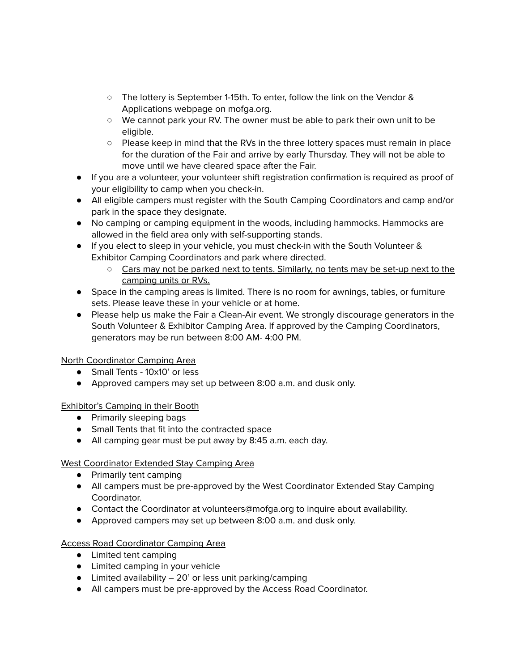- The lottery is September 1-15th. To enter, follow the link on the Vendor & Applications webpage on mofga.org.
- We cannot park your RV. The owner must be able to park their own unit to be eligible.
- Please keep in mind that the RVs in the three lottery spaces must remain in place for the duration of the Fair and arrive by early Thursday. They will not be able to move until we have cleared space after the Fair.
- If you are a volunteer, your volunteer shift registration confirmation is required as proof of your eligibility to camp when you check-in.
- All eligible campers must register with the South Camping Coordinators and camp and/or park in the space they designate.
- No camping or camping equipment in the woods, including hammocks. Hammocks are allowed in the field area only with self-supporting stands.
- If you elect to sleep in your vehicle, you must check-in with the South Volunteer & Exhibitor Camping Coordinators and park where directed.
	- Cars may not be parked next to tents. Similarly, no tents may be set-up next to the camping units or RVs.
- Space in the camping areas is limited. There is no room for awnings, tables, or furniture sets. Please leave these in your vehicle or at home.
- Please help us make the Fair a Clean-Air event. We strongly discourage generators in the South Volunteer & Exhibitor Camping Area. If approved by the Camping Coordinators, generators may be run between 8:00 AM- 4:00 PM.

### North Coordinator Camping Area

- Small Tents 10x10' or less
- Approved campers may set up between 8:00 a.m. and dusk only.

### Exhibitor's Camping in their Booth

- Primarily sleeping bags
- Small Tents that fit into the contracted space
- All camping gear must be put away by 8:45 a.m. each day.

# West Coordinator Extended Stay Camping Area

- Primarily tent camping
- All campers must be pre-approved by the West Coordinator Extended Stay Camping Coordinator.
- Contact the Coordinator at volunteers@mofga.org to inquire about availability.
- Approved campers may set up between 8:00 a.m. and dusk only.

# Access Road Coordinator Camping Area

- Limited tent camping
- Limited camping in your vehicle
- Limited availability 20' or less unit parking/camping
- All campers must be pre-approved by the Access Road Coordinator.